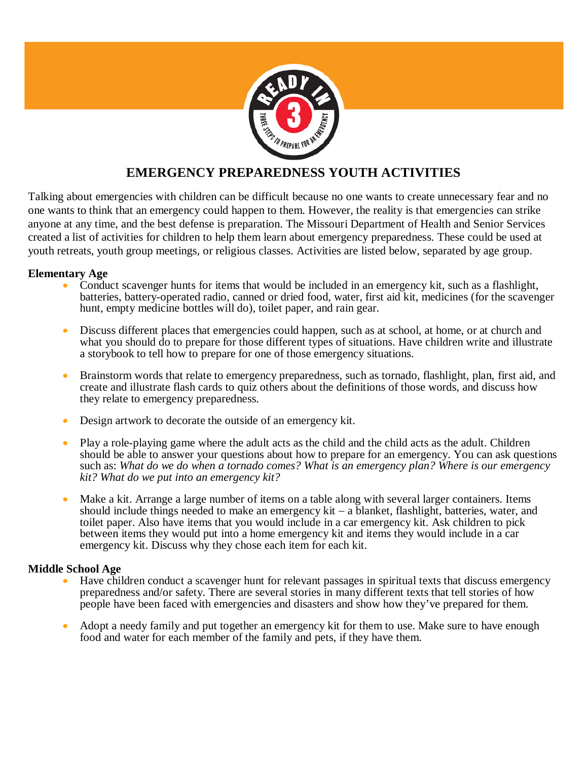

# **EMERGENCY PREPAREDNESS YOUTH ACTIVITIES**

Talking about emergencies with children can be difficult because no one wants to create unnecessary fear and no one wants to think that an emergency could happen to them. However, the reality is that emergencies can strike anyone at any time, and the best defense is preparation. The Missouri Department of Health and Senior Services created a list of activities for children to help them learn about emergency preparedness. These could be used at youth retreats, youth group meetings, or religious classes. Activities are listed below, separated by age group.

## **Elementary Age**

- Conduct scavenger hunts for items that would be included in an emergency kit, such as a flashlight, batteries, battery-operated radio, canned or dried food, water, first aid kit, medicines (for the scavenger hunt, empty medicine bottles will do), toilet paper, and rain gear.
- Discuss different places that emergencies could happen, such as at school, at home, or at church and what you should do to prepare for those different types of situations. Have children write and illustrate a storybook to tell how to prepare for one of those emergency situations.
- Brainstorm words that relate to emergency preparedness, such as tornado, flashlight, plan, first aid, and create and illustrate flash cards to quiz others about the definitions of those words, and discuss how they relate to emergency preparedness.
- Design artwork to decorate the outside of an emergency kit.
- Play a role-playing game where the adult acts as the child and the child acts as the adult. Children should be able to answer your questions about how to prepare for an emergency. You can ask questions such as: *What do we do when a tornado comes? What is an emergency plan? Where is our emergency kit? What do we put into an emergency kit?*
- Make a kit. Arrange a large number of items on a table along with several larger containers. Items should include things needed to make an emergency kit − a blanket, flashlight, batteries, water, and toilet paper. Also have items that you would include in a car emergency kit. Ask children to pick between items they would put into a home emergency kit and items they would include in a car emergency kit. Discuss why they chose each item for each kit.

## **Middle School Age**

- Have children conduct a scavenger hunt for relevant passages in spiritual texts that discuss emergency preparedness and/or safety. There are several stories in many different texts that tell stories of how people have been faced with emergencies and disasters and show how they've prepared for them.
- Adopt a needy family and put together an emergency kit for them to use. Make sure to have enough food and water for each member of the family and pets, if they have them.